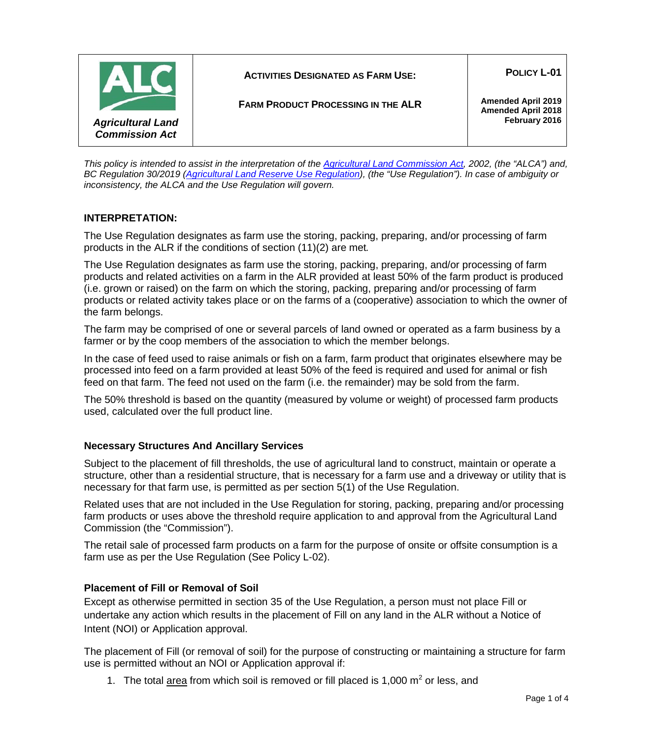

*This policy is intended to assist in the interpretation of the [Agricultural Land Commission Act,](http://www.bclaws.ca/Recon/document/ID/freeside/00_02036_01) 2002, (the "ALCA") and, BC Regulation 30/2019 [\(Agricultural Land Reserve Use Regulation\)](http://www.bclaws.ca/civix/document/id/complete/statreg/30_2019), (the "Use Regulation"). In case of ambiguity or inconsistency, the ALCA and the Use Regulation will govern.*

# **INTERPRETATION:**

The Use Regulation designates as farm use the storing, packing, preparing, and/or processing of farm products in the ALR if the conditions of section (11)(2) are met*.*

The Use Regulation designates as farm use the storing, packing, preparing, and/or processing of farm products and related activities on a farm in the ALR provided at least 50% of the farm product is produced (i.e. grown or raised) on the farm on which the storing, packing, preparing and/or processing of farm products or related activity takes place or on the farms of a (cooperative) association to which the owner of the farm belongs.

The farm may be comprised of one or several parcels of land owned or operated as a farm business by a farmer or by the coop members of the association to which the member belongs.

In the case of feed used to raise animals or fish on a farm, farm product that originates elsewhere may be processed into feed on a farm provided at least 50% of the feed is required and used for animal or fish feed on that farm. The feed not used on the farm (i.e. the remainder) may be sold from the farm.

The 50% threshold is based on the quantity (measured by volume or weight) of processed farm products used, calculated over the full product line.

## **Necessary Structures And Ancillary Services**

Subject to the placement of fill thresholds, the use of agricultural land to construct, maintain or operate a structure, other than a residential structure, that is necessary for a farm use and a driveway or utility that is necessary for that farm use, is permitted as per section 5(1) of the Use Regulation.

Related uses that are not included in the Use Regulation for storing, packing, preparing and/or processing farm products or uses above the threshold require application to and approval from the Agricultural Land Commission (the "Commission").

The retail sale of processed farm products on a farm for the purpose of onsite or offsite consumption is a farm use as per the Use Regulation (See Policy L-02).

## **Placement of Fill or Removal of Soil**

Except as otherwise permitted in section 35 of the Use Regulation, a person must not place Fill or undertake any action which results in the placement of Fill on any land in the ALR without a Notice of Intent (NOI) or Application approval.

The placement of Fill (or removal of soil) for the purpose of constructing or maintaining a structure for farm use is permitted without an NOI or Application approval if:

1. The total  $\frac{\text{area}}{\text{area}}$  from which soil is removed or fill placed is 1,000 m<sup>2</sup> or less, and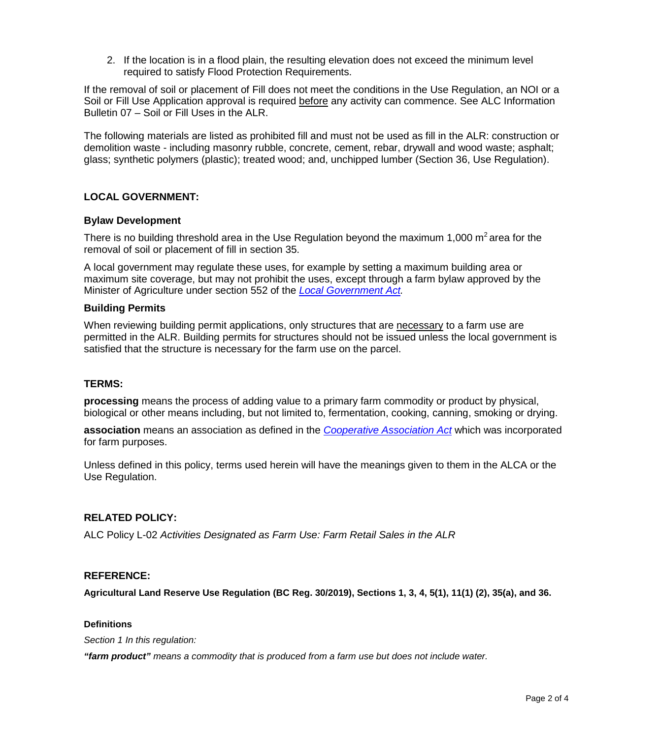2. If the location is in a flood plain, the resulting elevation does not exceed the minimum level required to satisfy Flood Protection Requirements.

If the removal of soil or placement of Fill does not meet the conditions in the Use Regulation, an NOI or a Soil or Fill Use Application approval is required before any activity can commence. See ALC Information Bulletin 07 – Soil or Fill Uses in the ALR.

The following materials are listed as prohibited fill and must not be used as fill in the ALR: construction or demolition waste - including masonry rubble, concrete, cement, rebar, drywall and wood waste; asphalt; glass; synthetic polymers (plastic); treated wood; and, unchipped lumber (Section 36, Use Regulation).

# **LOCAL GOVERNMENT:**

### **Bylaw Development**

There is no building threshold area in the Use Regulation beyond the maximum 1,000  $m^2$  area for the removal of soil or placement of fill in section 35.

A local government may regulate these uses, for example by setting a maximum building area or maximum site coverage, but may not prohibit the uses, except through a farm bylaw approved by the Minister of Agriculture under section 552 of the *[Local Government Act.](http://www.bclaws.ca/civix/document/id/complete/statreg/r15001_00)*

### **Building Permits**

When reviewing building permit applications, only structures that are necessary to a farm use are permitted in the ALR. Building permits for structures should not be issued unless the local government is satisfied that the structure is necessary for the farm use on the parcel.

### **TERMS:**

**processing** means the process of adding value to a primary farm commodity or product by physical, biological or other means including, but not limited to, fermentation, cooking, canning, smoking or drying.

**association** means an association as defined in the *[Cooperative Association Act](http://www.bclaws.ca/civix/document/id/complete/statreg/99028_01)* which was incorporated for farm purposes.

Unless defined in this policy, terms used herein will have the meanings given to them in the ALCA or the Use Regulation.

## **RELATED POLICY:**

ALC Policy L-02 *Activities Designated as Farm Use: Farm Retail Sales in the ALR*

## **REFERENCE:**

**Agricultural Land Reserve Use Regulation (BC Reg. 30/2019), Sections 1, 3, 4, 5(1), 11(1) (2), 35(a), and 36.** 

### **Definitions**

*Section 1 In this regulation:*

*"farm product" means a commodity that is produced from a farm use but does not include water.*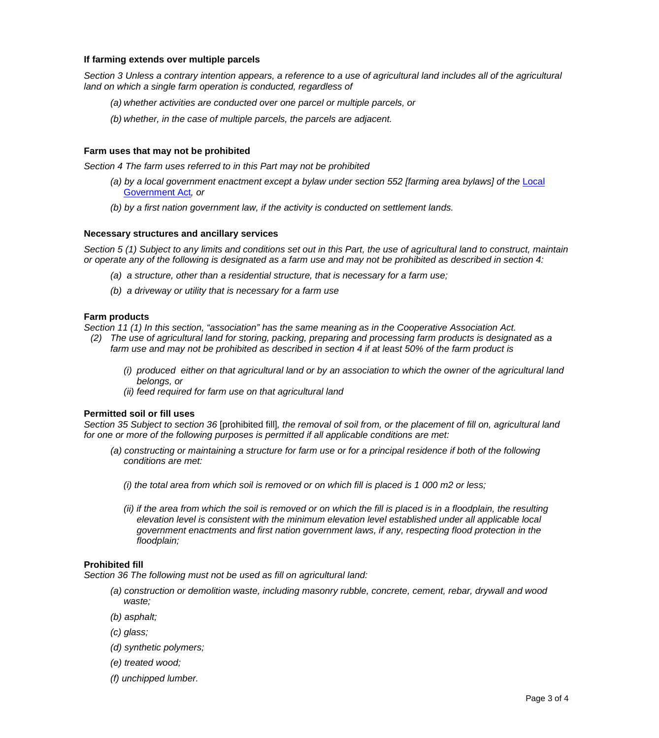### **If farming extends over multiple parcels**

*Section 3 Unless a contrary intention appears, a reference to a use of agricultural land includes all of the agricultural land on which a single farm operation is conducted, regardless of*

- *(a) whether activities are conducted over one parcel or multiple parcels, or*
- *(b) whether, in the case of multiple parcels, the parcels are adjacent.*

### **Farm uses that may not be prohibited**

*Section 4 The farm uses referred to in this Part may not be prohibited*

- *(a) by a local government enactment except a bylaw under section 552 [farming area bylaws] of the* [Local](http://www.bclaws.ca/civix/document/id/complete/statreg/96323_00)  [Government Act](http://www.bclaws.ca/civix/document/id/complete/statreg/96323_00)*, or*
- *(b) by a first nation government law, if the activity is conducted on settlement lands.*

#### **Necessary structures and ancillary services**

*Section 5 (1) Subject to any limits and conditions set out in this Part, the use of agricultural land to construct, maintain or operate any of the following is designated as a farm use and may not be prohibited as described in section 4:*

- *(a) a structure, other than a residential structure, that is necessary for a farm use;*
- *(b) a driveway or utility that is necessary for a farm use*

#### **Farm products**

*Section 11 (1) In this section, "association" has the same meaning as in the Cooperative Association Act.*

- *(2) The use of agricultural land for storing, packing, preparing and processing farm products is designated as a farm use and may not be prohibited as described in section 4 if at least 50% of the farm product is*
	- *(i) produced either on that agricultural land or by an association to which the owner of the agricultural land belongs, or*
	- *(ii) feed required for farm use on that agricultural land*

#### **Permitted soil or fill uses**

*Section 35 Subject to section 36* [prohibited fill]*, the removal of soil from, or the placement of fill on, agricultural land for one or more of the following purposes is permitted if all applicable conditions are met:*

- *(a) constructing or maintaining a structure for farm use or for a principal residence if both of the following conditions are met:*
	- *(i) the total area from which soil is removed or on which fill is placed is 1 000 m2 or less;*
	- *(ii)* if the area from which the soil is removed or on which the fill is placed is in a floodplain, the resulting *elevation level is consistent with the minimum elevation level established under all applicable local government enactments and first nation government laws, if any, respecting flood protection in the floodplain;*

#### **Prohibited fill**

*Section 36 The following must not be used as fill on agricultural land:*

- *(a) construction or demolition waste, including masonry rubble, concrete, cement, rebar, drywall and wood waste;*
- *(b) asphalt;*
- *(c) glass;*
- *(d) synthetic polymers;*
- *(e) treated wood;*
- *(f) unchipped lumber.*